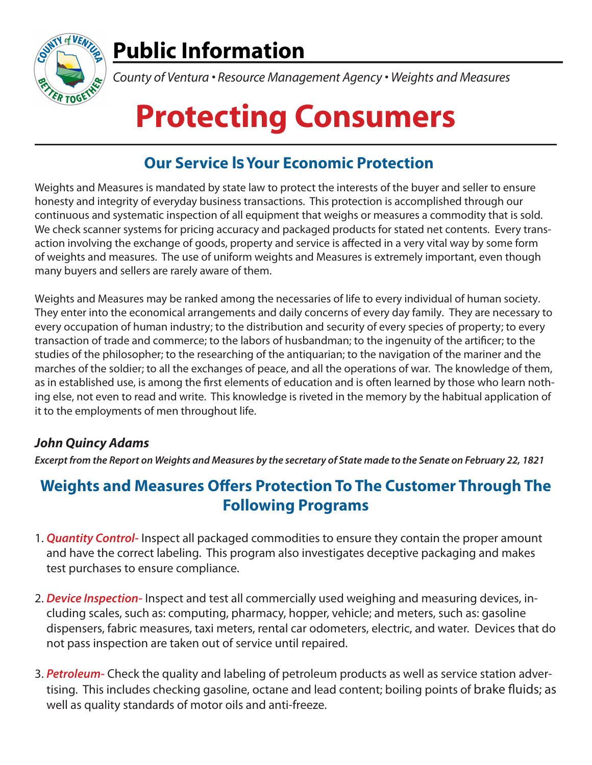

## **Public Information**

*County of Ventura • Resource Management Agency • Weights and Measures*

# **Protecting Consumers**

### **Our Service Is Your Economic Protection**

Weights and Measures is mandated by state law to protect the interests of the buyer and seller to ensure honesty and integrity of everyday business transactions. This protection is accomplished through our continuous and systematic inspection of all equipment that weighs or measures a commodity that is sold. We check scanner systems for pricing accuracy and packaged products for stated net contents. Every transaction involving the exchange of goods, property and service is affected in a very vital way by some form of weights and measures. The use of uniform weights and Measures is extremely important, even though many buyers and sellers are rarely aware of them.

Weights and Measures may be ranked among the necessaries of life to every individual of human society. They enter into the economical arrangements and daily concerns of every day family. They are necessary to every occupation of human industry; to the distribution and security of every species of property; to every transaction of trade and commerce; to the labors of husbandman; to the ingenuity of the artificer; to the studies of the philosopher; to the researching of the antiquarian; to the navigation of the mariner and the marches of the soldier; to all the exchanges of peace, and all the operations of war. The knowledge of them, as in established use, is among the first elements of education and is often learned by those who learn nothing else, not even to read and write. This knowledge is riveted in the memory by the habitual application of it to the employments of men throughout life.

#### **John Quincy Adams**

**Excerpt from the Report on Weights and Measures by the secretary of State made to the Senate on February 22, 1821**

#### **Weights and Measures Offers Protection To The Customer Through The Following Programs**

- 1. **Quantity Control-** Inspect all packaged commodities to ensure they contain the proper amount and have the correct labeling. This program also investigates deceptive packaging and makes test purchases to ensure compliance.
- 2. **Device Inspection-** Inspect and test all commercially used weighing and measuring devices, including scales, such as: computing, pharmacy, hopper, vehicle; and meters, such as: gasoline dispensers, fabric measures, taxi meters, rental car odometers, electric, and water. Devices that do not pass inspection are taken out of service until repaired.
- 3. **Petroleum-** Check the quality and labeling of petroleum products as well as service station advertising. This includes checking gasoline, octane and lead content; boiling points of brake fluids; as well as quality standards of motor oils and anti-freeze.